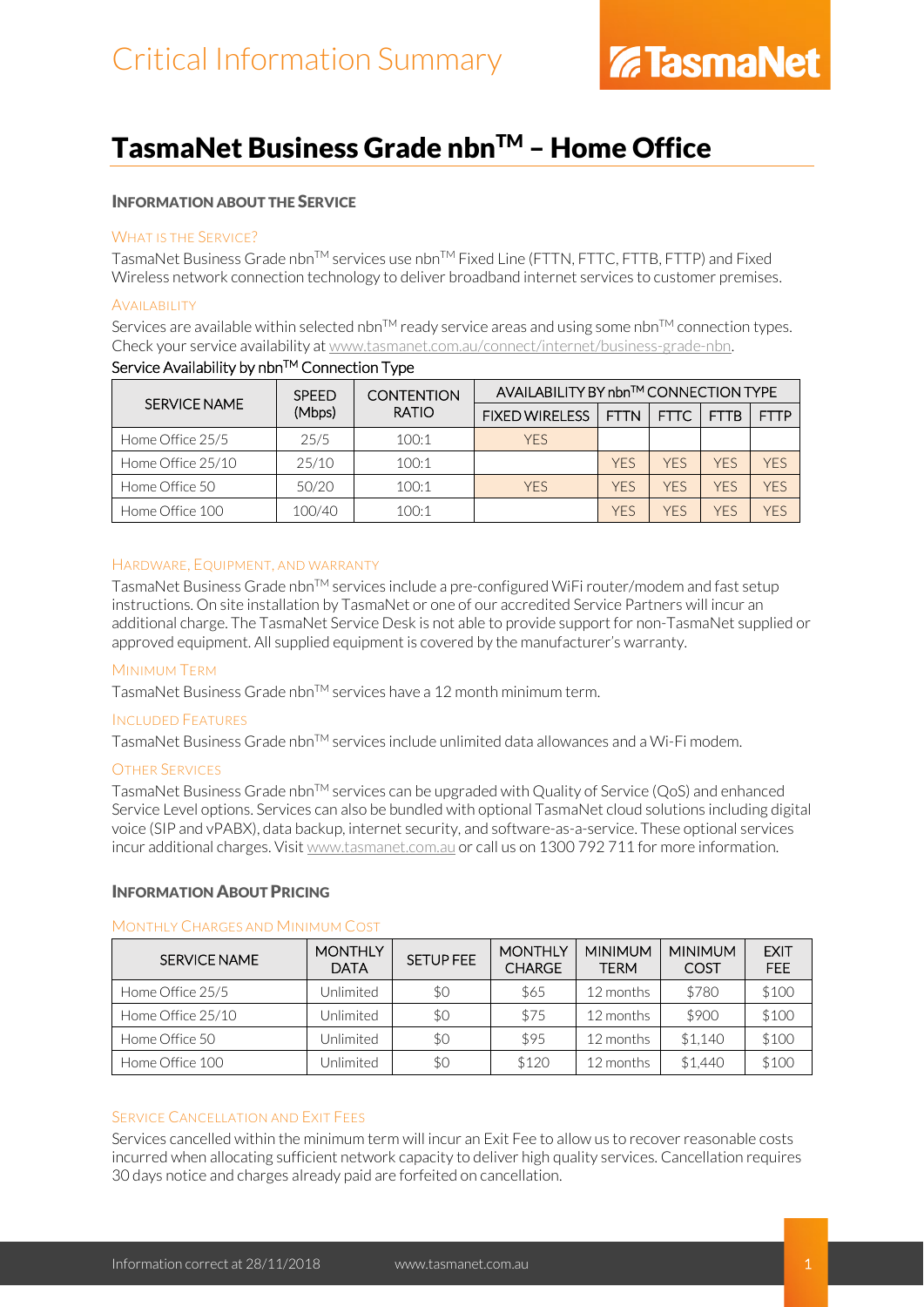### TasmaNet Business Grade nbn™ - Home Office

### INFORMATION ABOUT THE SERVICE

### WHAT IS THE SERVICE?

TasmaNet Business Grade nbn™ services use nbn™ Fixed Line (FTTN, FTTC, FTTB, FTTP) and Fixed Wireless network connection technology to deliver broadband internet services to customer premises.

### **AVAILABILITY**

Services are available within selected nbn<sup>TM</sup> ready service areas and using some nbn<sup>TM</sup> connection types. Check your service availability a[t www.tasmanet.com.au/connect/internet/business-grade-nbn.](http://www.tasmanet.com.au/connect/internet/business-grade-nbn)

| SERVICE NAME      | <b>SPEED</b><br>(Mbps) | <b>CONTENTION</b><br><b>RATIO</b> | AVAILABILITY BY nbn™ CONNECTION TYPE |             |            |             |             |
|-------------------|------------------------|-----------------------------------|--------------------------------------|-------------|------------|-------------|-------------|
|                   |                        |                                   | <b>FIXED WIRELESS</b>                | <b>FTTN</b> | FTTC       | <b>FTTB</b> | <b>FTTP</b> |
| Home Office 25/5  | 25/5                   | 100:1                             | <b>YFS</b>                           |             |            |             |             |
| Home Office 25/10 | 25/10                  | 100:1                             |                                      | <b>YFS</b>  | <b>YFS</b> | <b>YFS</b>  | YFS         |
| Home Office 50    | 50/20                  | 100:1                             | <b>YFS</b>                           | <b>YFS</b>  | <b>YFS</b> | <b>YFS</b>  | YFS         |
| Home Office 100   | 100/40                 | 100:1                             |                                      | <b>YFS</b>  | YFS        | YFS         | YFS         |

### Service Availability by nbn™ Connection Type

### HARDWARE, EQUIPMENT, AND WARRANTY

TasmaNet Business Grade nbnTM services include a pre-configured WiFi router/modem and fast setup instructions. On site installation by TasmaNet or one of our accredited Service Partners will incur an additional charge. The TasmaNet Service Desk is not able to provide support for non-TasmaNet supplied or approved equipment. All supplied equipment is covered by the manufacturer's warranty.

### MINIMUM TERM

TasmaNet Business Grade nbn™ services have a 12 month minimum term.

### INCLUDED FEATURES

TasmaNet Business Grade nbn<sup>TM</sup> services include unlimited data allowances and a Wi-Fi modem.

### OTHER SERVICES

TasmaNet Business Grade nbn<sup>TM</sup> services can be upgraded with Quality of Service (QoS) and enhanced Service Level options. Services can also be bundled with optional TasmaNet cloud solutions including digital voice (SIP and vPABX), data backup, internet security, and software-as-a-service. These optional services incur additional charges. Visit [www.tasmanet.com.au](http://www.tasmanet.com.au/) or call us on 1300 792 711 for more information.

### INFORMATION ABOUT PRICING

### MONTHLY CHARGES AND MINIMUM COST

| SERVICE NAME      | <b>MONTHLY</b><br><b>DATA</b> | <b>SETUP FEE</b> | <b>MONTHLY</b><br><b>CHARGE</b> | <b>MINIMUM</b><br><b>TERM</b> | <b>MINIMUM</b><br>COST | <b>EXIT</b><br><b>FEE</b> |
|-------------------|-------------------------------|------------------|---------------------------------|-------------------------------|------------------------|---------------------------|
| Home Office 25/5  | Jnlimited                     | \$0              | \$65                            | 12 months                     | \$780                  | \$100                     |
| Home Office 25/10 | <b>Jnlimited</b>              | \$0              | \$75                            | 12 months                     | \$900                  | \$100                     |
| Home Office 50    | Jnlimited                     | \$0              | \$95                            | 12 months                     | \$1.140                | \$100                     |
| Home Office 100   | Jnlimited                     | \$0              | \$120                           | 12 months                     | \$1.440                | \$100                     |

### SERVICE CANCELLATION AND EXIT FEES

Services cancelled within the minimum term will incur an Exit Fee to allow us to recover reasonable costs incurred when allocating sufficient network capacity to deliver high quality services. Cancellation requires 30 days notice and charges already paid are forfeited on cancellation.